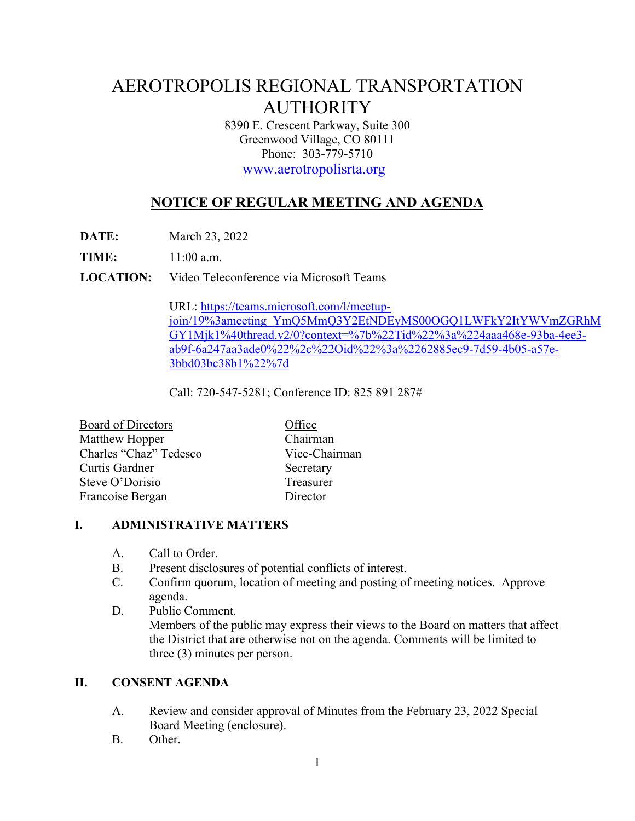# AEROTROPOLIS REGIONAL TRANSPORTATION AUTHORITY

8390 E. Crescent Parkway, Suite 300 Greenwood Village, CO 80111 Phone: 303-779-5710

www.aerotropolisrta.org

## **NOTICE OF REGULAR MEETING AND AGENDA**

**DATE:** March 23, 2022

**TIME:** 11:00 a.m.

**LOCATION:** Video Teleconference via Microsoft Teams

URL: https://teams.microsoft.com/l/meetupjoin/19%3ameeting\_YmQ5MmQ3Y2EtNDEyMS00OGQ1LWFkY2ItYWVmZGRhM GY1Mjk1%40thread.v2/0?context=%7b%22Tid%22%3a%224aaa468e-93ba-4ee3 ab9f-6a247aa3ade0%22%2c%22Oid%22%3a%2262885ec9-7d59-4b05-a57e-3bbd03bc38b1%22%7d

Call: 720-547-5281; Conference ID: 825 891 287#

| <b>Board of Directors</b> | Office        |
|---------------------------|---------------|
| Matthew Hopper            | Chairman      |
| Charles "Chaz" Tedesco    | Vice-Chairman |
| Curtis Gardner            | Secretary     |
| Steve O'Dorisio           | Treasurer     |
| Francoise Bergan          | Director      |

#### **I. ADMINISTRATIVE MATTERS**

- A. Call to Order.
- B. Present disclosures of potential conflicts of interest.
- C. Confirm quorum, location of meeting and posting of meeting notices. Approve agenda.
- D. Public Comment. Members of the public may express their views to the Board on matters that affect the District that are otherwise not on the agenda. Comments will be limited to three (3) minutes per person.

#### **II. CONSENT AGENDA**

- A. Review and consider approval of Minutes from the February 23, 2022 Special Board Meeting (enclosure).
- B. Other.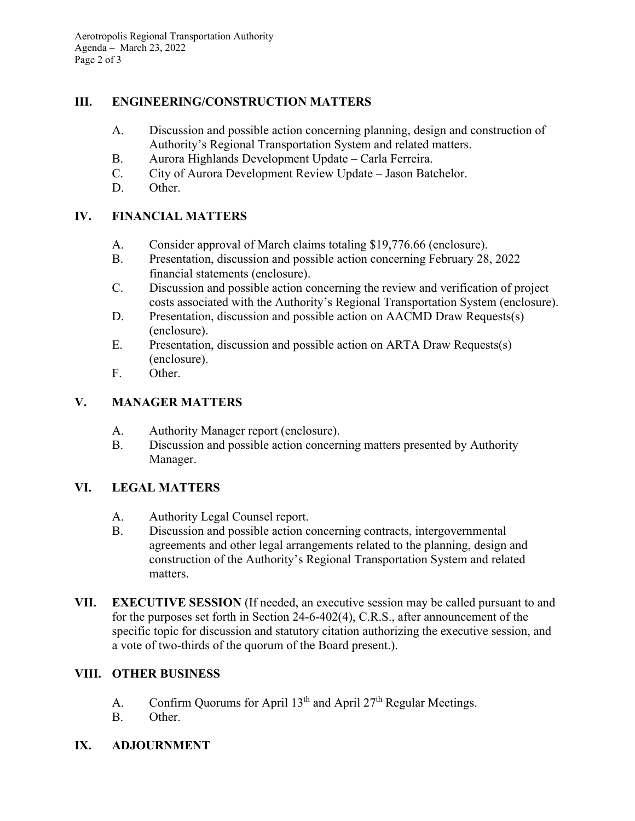#### **III. ENGINEERING/CONSTRUCTION MATTERS**

- A. Discussion and possible action concerning planning, design and construction of Authority's Regional Transportation System and related matters.
- B. Aurora Highlands Development Update Carla Ferreira.
- C. City of Aurora Development Review Update Jason Batchelor.
- D. Other.

## **IV. FINANCIAL MATTERS**

- A. Consider approval of March claims totaling \$19,776.66 (enclosure).
- B. Presentation, discussion and possible action concerning February 28, 2022 financial statements (enclosure).
- C. Discussion and possible action concerning the review and verification of project costs associated with the Authority's Regional Transportation System (enclosure).
- D. Presentation, discussion and possible action on AACMD Draw Requests(s) (enclosure).
- E. Presentation, discussion and possible action on ARTA Draw Requests(s) (enclosure).
- F. Other.

## **V. MANAGER MATTERS**

- A. Authority Manager report (enclosure).
- B. Discussion and possible action concerning matters presented by Authority Manager.

#### **VI. LEGAL MATTERS**

- A. Authority Legal Counsel report.
- B. Discussion and possible action concerning contracts, intergovernmental agreements and other legal arrangements related to the planning, design and construction of the Authority's Regional Transportation System and related matters.
- **VII. EXECUTIVE SESSION** (If needed, an executive session may be called pursuant to and for the purposes set forth in Section 24-6-402(4), C.R.S., after announcement of the specific topic for discussion and statutory citation authorizing the executive session, and a vote of two-thirds of the quorum of the Board present.).

#### **VIII. OTHER BUSINESS**

- A. Confirm Quorums for April  $13<sup>th</sup>$  and April  $27<sup>th</sup>$  Regular Meetings.
- B. Other.
- **IX. ADJOURNMENT**